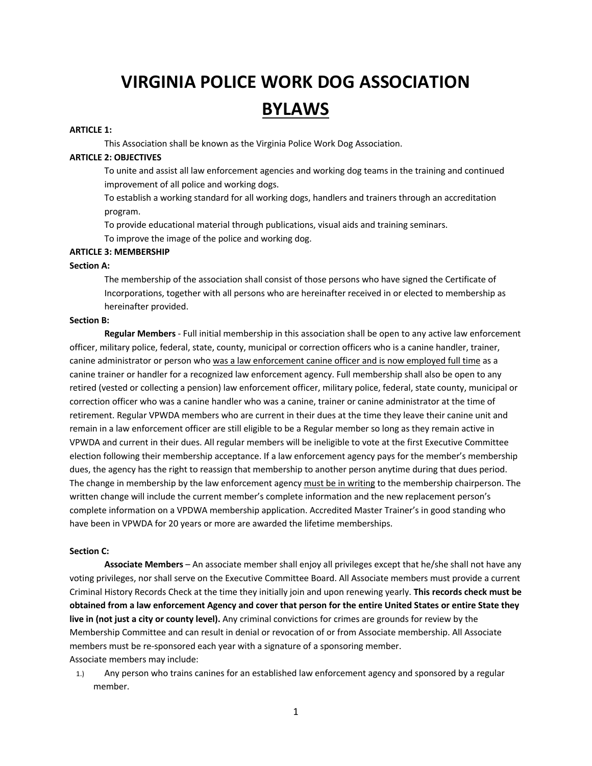# **VIRGINIA POLICE WORK DOG ASSOCIATION BYLAWS**

## **ARTICLE 1:**

This Association shall be known as the Virginia Police Work Dog Association.

## **ARTICLE 2: OBJECTIVES**

To unite and assist all law enforcement agencies and working dog teams in the training and continued improvement of all police and working dogs.

To establish a working standard for all working dogs, handlers and trainers through an accreditation program.

To provide educational material through publications, visual aids and training seminars.

To improve the image of the police and working dog.

# **ARTICLE 3: MEMBERSHIP**

## **Section A:**

The membership of the association shall consist of those persons who have signed the Certificate of Incorporations, together with all persons who are hereinafter received in or elected to membership as hereinafter provided.

## **Section B:**

**Regular Members** - Full initial membership in this association shall be open to any active law enforcement officer, military police, federal, state, county, municipal or correction officers who is a canine handler, trainer, canine administrator or person who was a law enforcement canine officer and is now employed full time as a canine trainer or handler for a recognized law enforcement agency. Full membership shall also be open to any retired (vested or collecting a pension) law enforcement officer, military police, federal, state county, municipal or correction officer who was a canine handler who was a canine, trainer or canine administrator at the time of retirement. Regular VPWDA members who are current in their dues at the time they leave their canine unit and remain in a law enforcement officer are still eligible to be a Regular member so long as they remain active in VPWDA and current in their dues. All regular members will be ineligible to vote at the first Executive Committee election following their membership acceptance. If a law enforcement agency pays for the member's membership dues, the agency has the right to reassign that membership to another person anytime during that dues period. The change in membership by the law enforcement agency must be in writing to the membership chairperson. The written change will include the current member's complete information and the new replacement person's complete information on a VPDWA membership application. Accredited Master Trainer's in good standing who have been in VPWDA for 20 years or more are awarded the lifetime memberships.

## **Section C:**

**Associate Members** – An associate member shall enjoy all privileges except that he/she shall not have any voting privileges, nor shall serve on the Executive Committee Board. All Associate members must provide a current Criminal History Records Check at the time they initially join and upon renewing yearly. **This records check must be obtained from a law enforcement Agency and cover that person for the entire United States or entire State they live in (not just a city or county level).** Any criminal convictions for crimes are grounds for review by the Membership Committee and can result in denial or revocation of or from Associate membership. All Associate members must be re-sponsored each year with a signature of a sponsoring member. Associate members may include:

1.) Any person who trains canines for an established law enforcement agency and sponsored by a regular member.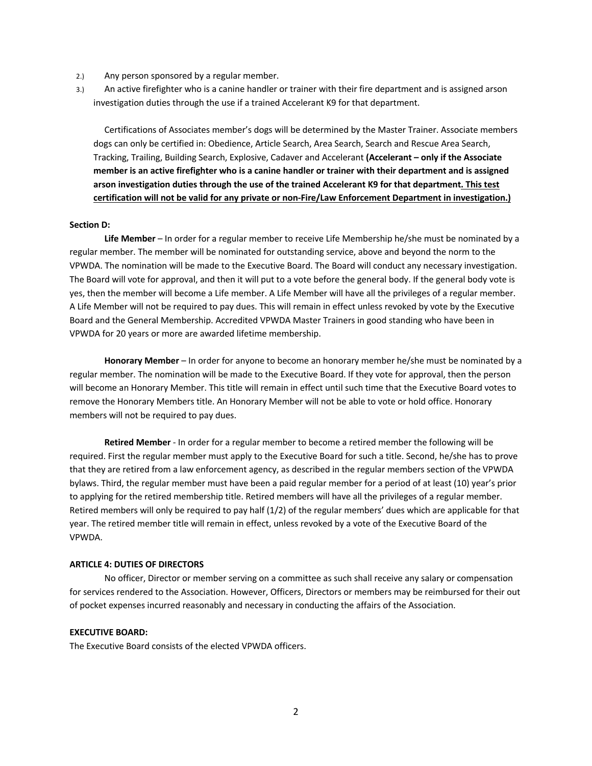- 2.) Any person sponsored by a regular member.
- 3.) An active firefighter who is a canine handler or trainer with their fire department and is assigned arson investigation duties through the use if a trained Accelerant K9 for that department.

Certifications of Associates member's dogs will be determined by the Master Trainer. Associate members dogs can only be certified in: Obedience, Article Search, Area Search, Search and Rescue Area Search, Tracking, Trailing, Building Search, Explosive, Cadaver and Accelerant **(Accelerant – only if the Associate member is an active firefighter who is a canine handler or trainer with their department and is assigned arson investigation duties through the use of the trained Accelerant K9 for that department. This test certification will not be valid for any private or non-Fire/Law Enforcement Department in investigation.)**

#### **Section D:**

**Life Member** – In order for a regular member to receive Life Membership he/she must be nominated by a regular member. The member will be nominated for outstanding service, above and beyond the norm to the VPWDA. The nomination will be made to the Executive Board. The Board will conduct any necessary investigation. The Board will vote for approval, and then it will put to a vote before the general body. If the general body vote is yes, then the member will become a Life member. A Life Member will have all the privileges of a regular member. A Life Member will not be required to pay dues. This will remain in effect unless revoked by vote by the Executive Board and the General Membership. Accredited VPWDA Master Trainers in good standing who have been in VPWDA for 20 years or more are awarded lifetime membership.

**Honorary Member** – In order for anyone to become an honorary member he/she must be nominated by a regular member. The nomination will be made to the Executive Board. If they vote for approval, then the person will become an Honorary Member. This title will remain in effect until such time that the Executive Board votes to remove the Honorary Members title. An Honorary Member will not be able to vote or hold office. Honorary members will not be required to pay dues.

**Retired Member** - In order for a regular member to become a retired member the following will be required. First the regular member must apply to the Executive Board for such a title. Second, he/she has to prove that they are retired from a law enforcement agency, as described in the regular members section of the VPWDA bylaws. Third, the regular member must have been a paid regular member for a period of at least (10) year's prior to applying for the retired membership title. Retired members will have all the privileges of a regular member. Retired members will only be required to pay half (1/2) of the regular members' dues which are applicable for that year. The retired member title will remain in effect, unless revoked by a vote of the Executive Board of the VPWDA.

## **ARTICLE 4: DUTIES OF DIRECTORS**

No officer, Director or member serving on a committee as such shall receive any salary or compensation for services rendered to the Association. However, Officers, Directors or members may be reimbursed for their out of pocket expenses incurred reasonably and necessary in conducting the affairs of the Association.

## **EXECUTIVE BOARD:**

The Executive Board consists of the elected VPWDA officers.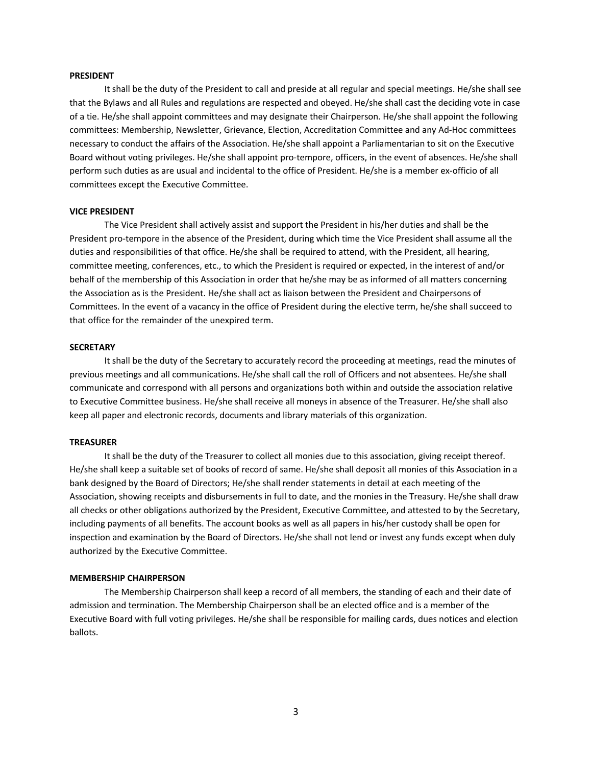#### **PRESIDENT**

It shall be the duty of the President to call and preside at all regular and special meetings. He/she shall see that the Bylaws and all Rules and regulations are respected and obeyed. He/she shall cast the deciding vote in case of a tie. He/she shall appoint committees and may designate their Chairperson. He/she shall appoint the following committees: Membership, Newsletter, Grievance, Election, Accreditation Committee and any Ad-Hoc committees necessary to conduct the affairs of the Association. He/she shall appoint a Parliamentarian to sit on the Executive Board without voting privileges. He/she shall appoint pro-tempore, officers, in the event of absences. He/she shall perform such duties as are usual and incidental to the office of President. He/she is a member ex-officio of all committees except the Executive Committee.

#### **VICE PRESIDENT**

The Vice President shall actively assist and support the President in his/her duties and shall be the President pro-tempore in the absence of the President, during which time the Vice President shall assume all the duties and responsibilities of that office. He/she shall be required to attend, with the President, all hearing, committee meeting, conferences, etc., to which the President is required or expected, in the interest of and/or behalf of the membership of this Association in order that he/she may be as informed of all matters concerning the Association as is the President. He/she shall act as liaison between the President and Chairpersons of Committees. In the event of a vacancy in the office of President during the elective term, he/she shall succeed to that office for the remainder of the unexpired term.

#### **SECRETARY**

It shall be the duty of the Secretary to accurately record the proceeding at meetings, read the minutes of previous meetings and all communications. He/she shall call the roll of Officers and not absentees. He/she shall communicate and correspond with all persons and organizations both within and outside the association relative to Executive Committee business. He/she shall receive all moneys in absence of the Treasurer. He/she shall also keep all paper and electronic records, documents and library materials of this organization.

## **TREASURER**

It shall be the duty of the Treasurer to collect all monies due to this association, giving receipt thereof. He/she shall keep a suitable set of books of record of same. He/she shall deposit all monies of this Association in a bank designed by the Board of Directors; He/she shall render statements in detail at each meeting of the Association, showing receipts and disbursements in full to date, and the monies in the Treasury. He/she shall draw all checks or other obligations authorized by the President, Executive Committee, and attested to by the Secretary, including payments of all benefits. The account books as well as all papers in his/her custody shall be open for inspection and examination by the Board of Directors. He/she shall not lend or invest any funds except when duly authorized by the Executive Committee.

#### **MEMBERSHIP CHAIRPERSON**

The Membership Chairperson shall keep a record of all members, the standing of each and their date of admission and termination. The Membership Chairperson shall be an elected office and is a member of the Executive Board with full voting privileges. He/she shall be responsible for mailing cards, dues notices and election ballots.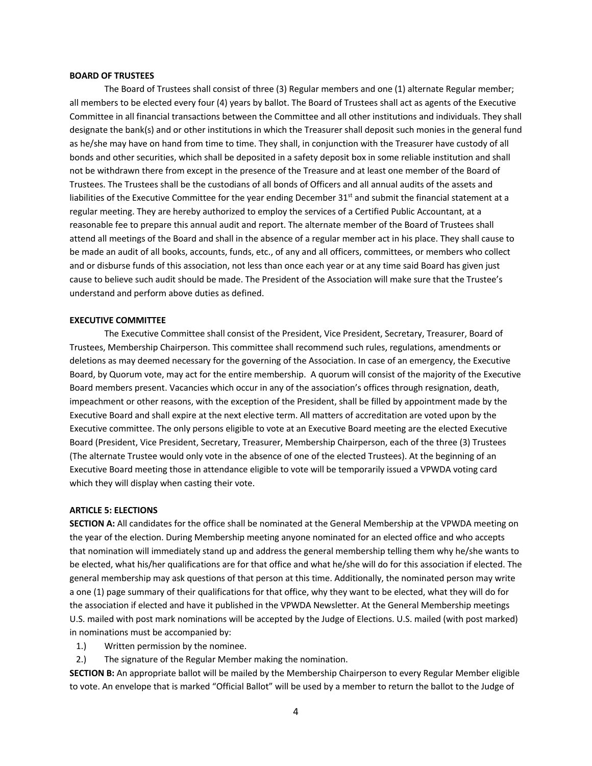#### **BOARD OF TRUSTEES**

The Board of Trustees shall consist of three (3) Regular members and one (1) alternate Regular member; all members to be elected every four (4) years by ballot. The Board of Trustees shall act as agents of the Executive Committee in all financial transactions between the Committee and all other institutions and individuals. They shall designate the bank(s) and or other institutions in which the Treasurer shall deposit such monies in the general fund as he/she may have on hand from time to time. They shall, in conjunction with the Treasurer have custody of all bonds and other securities, which shall be deposited in a safety deposit box in some reliable institution and shall not be withdrawn there from except in the presence of the Treasure and at least one member of the Board of Trustees. The Trustees shall be the custodians of all bonds of Officers and all annual audits of the assets and liabilities of the Executive Committee for the year ending December  $31^{st}$  and submit the financial statement at a regular meeting. They are hereby authorized to employ the services of a Certified Public Accountant, at a reasonable fee to prepare this annual audit and report. The alternate member of the Board of Trustees shall attend all meetings of the Board and shall in the absence of a regular member act in his place. They shall cause to be made an audit of all books, accounts, funds, etc., of any and all officers, committees, or members who collect and or disburse funds of this association, not less than once each year or at any time said Board has given just cause to believe such audit should be made. The President of the Association will make sure that the Trustee's understand and perform above duties as defined.

## **EXECUTIVE COMMITTEE**

The Executive Committee shall consist of the President, Vice President, Secretary, Treasurer, Board of Trustees, Membership Chairperson. This committee shall recommend such rules, regulations, amendments or deletions as may deemed necessary for the governing of the Association. In case of an emergency, the Executive Board, by Quorum vote, may act for the entire membership. A quorum will consist of the majority of the Executive Board members present. Vacancies which occur in any of the association's offices through resignation, death, impeachment or other reasons, with the exception of the President, shall be filled by appointment made by the Executive Board and shall expire at the next elective term. All matters of accreditation are voted upon by the Executive committee. The only persons eligible to vote at an Executive Board meeting are the elected Executive Board (President, Vice President, Secretary, Treasurer, Membership Chairperson, each of the three (3) Trustees (The alternate Trustee would only vote in the absence of one of the elected Trustees). At the beginning of an Executive Board meeting those in attendance eligible to vote will be temporarily issued a VPWDA voting card which they will display when casting their vote.

## **ARTICLE 5: ELECTIONS**

**SECTION A:** All candidates for the office shall be nominated at the General Membership at the VPWDA meeting on the year of the election. During Membership meeting anyone nominated for an elected office and who accepts that nomination will immediately stand up and address the general membership telling them why he/she wants to be elected, what his/her qualifications are for that office and what he/she will do for this association if elected. The general membership may ask questions of that person at this time. Additionally, the nominated person may write a one (1) page summary of their qualifications for that office, why they want to be elected, what they will do for the association if elected and have it published in the VPWDA Newsletter. At the General Membership meetings U.S. mailed with post mark nominations will be accepted by the Judge of Elections. U.S. mailed (with post marked) in nominations must be accompanied by:

- 1.) Written permission by the nominee.
- 2.) The signature of the Regular Member making the nomination.

**SECTION B:** An appropriate ballot will be mailed by the Membership Chairperson to every Regular Member eligible to vote. An envelope that is marked "Official Ballot" will be used by a member to return the ballot to the Judge of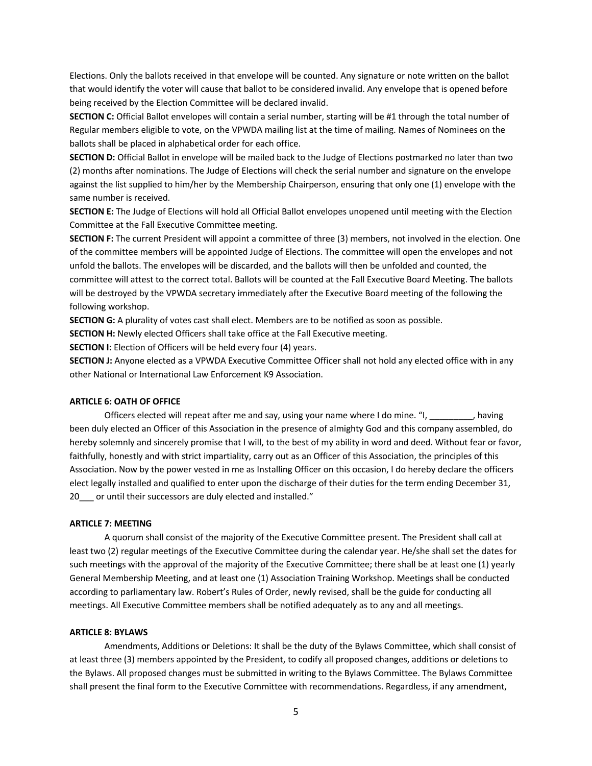Elections. Only the ballots received in that envelope will be counted. Any signature or note written on the ballot that would identify the voter will cause that ballot to be considered invalid. Any envelope that is opened before being received by the Election Committee will be declared invalid.

**SECTION C:** Official Ballot envelopes will contain a serial number, starting will be #1 through the total number of Regular members eligible to vote, on the VPWDA mailing list at the time of mailing. Names of Nominees on the ballots shall be placed in alphabetical order for each office.

**SECTION D:** Official Ballot in envelope will be mailed back to the Judge of Elections postmarked no later than two (2) months after nominations. The Judge of Elections will check the serial number and signature on the envelope against the list supplied to him/her by the Membership Chairperson, ensuring that only one (1) envelope with the same number is received.

**SECTION E:** The Judge of Elections will hold all Official Ballot envelopes unopened until meeting with the Election Committee at the Fall Executive Committee meeting.

**SECTION F:** The current President will appoint a committee of three (3) members, not involved in the election. One of the committee members will be appointed Judge of Elections. The committee will open the envelopes and not unfold the ballots. The envelopes will be discarded, and the ballots will then be unfolded and counted, the committee will attest to the correct total. Ballots will be counted at the Fall Executive Board Meeting. The ballots will be destroyed by the VPWDA secretary immediately after the Executive Board meeting of the following the following workshop.

**SECTION G:** A plurality of votes cast shall elect. Members are to be notified as soon as possible.

**SECTION H:** Newly elected Officers shall take office at the Fall Executive meeting.

**SECTION I:** Election of Officers will be held every four (4) years.

**SECTION J:** Anyone elected as a VPWDA Executive Committee Officer shall not hold any elected office with in any other National or International Law Enforcement K9 Association.

## **ARTICLE 6: OATH OF OFFICE**

Officers elected will repeat after me and say, using your name where I do mine. "I, \_\_\_\_\_\_\_\_\_, having been duly elected an Officer of this Association in the presence of almighty God and this company assembled, do hereby solemnly and sincerely promise that I will, to the best of my ability in word and deed. Without fear or favor, faithfully, honestly and with strict impartiality, carry out as an Officer of this Association, the principles of this Association. Now by the power vested in me as Installing Officer on this occasion, I do hereby declare the officers elect legally installed and qualified to enter upon the discharge of their duties for the term ending December 31, 20 or until their successors are duly elected and installed."

#### **ARTICLE 7: MEETING**

A quorum shall consist of the majority of the Executive Committee present. The President shall call at least two (2) regular meetings of the Executive Committee during the calendar year. He/she shall set the dates for such meetings with the approval of the majority of the Executive Committee; there shall be at least one (1) yearly General Membership Meeting, and at least one (1) Association Training Workshop. Meetings shall be conducted according to parliamentary law. Robert's Rules of Order, newly revised, shall be the guide for conducting all meetings. All Executive Committee members shall be notified adequately as to any and all meetings.

#### **ARTICLE 8: BYLAWS**

Amendments, Additions or Deletions: It shall be the duty of the Bylaws Committee, which shall consist of at least three (3) members appointed by the President, to codify all proposed changes, additions or deletions to the Bylaws. All proposed changes must be submitted in writing to the Bylaws Committee. The Bylaws Committee shall present the final form to the Executive Committee with recommendations. Regardless, if any amendment,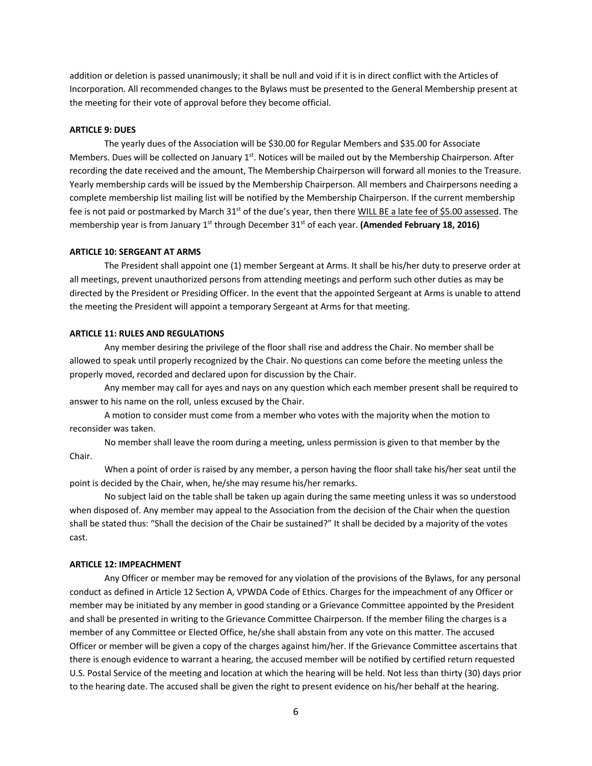addition or deletion is passed unanimously; it shall be null and void if it is in direct conflict with the Articles of Incorporation. All recommended changes to the Bylaws must be presented to the General Membership present at the meeting for their vote of approval before they become official.

#### **ARTICLE 9: DUES**

The yearly dues of the Association will be \$30.00 for Regular Members and \$35.00 for Associate Members. Dues will be collected on January 1<sup>st</sup>. Notices will be mailed out by the Membership Chairperson. After recording the date received and the amount, The Membership Chairperson will forward all monies to the Treasure. Yearly membership cards will be issued by the Membership Chairperson. All members and Chairpersons needing a complete membership list mailing list will be notified by the Membership Chairperson. If the current membership fee is not paid or postmarked by March  $31^{st}$  of the due's year, then there WILL BE a late fee of \$5.00 assessed. The membership year is from January 1<sup>st</sup> through December 31<sup>st</sup> of each year. (Amended February 18, 2016)

#### **ARTICLE 10: SERGEANT AT ARMS**

The President shall appoint one (1) member Sergeant at Arms. It shall be his/her duty to preserve order at all meetings, prevent unauthorized persons from attending meetings and perform such other duties as may be directed by the President or Presiding Officer. In the event that the appointed Sergeant at Arms is unable to attend the meeting the President will appoint a temporary Sergeant at Arms for that meeting.

#### **ARTICLE 11: RULES AND REGULATIONS**

Any member desiring the privilege of the floor shall rise and address the Chair. No member shall be allowed to speak until properly recognized by the Chair. No questions can come before the meeting unless the properly moved, recorded and declared upon for discussion by the Chair.

Any member may call for ayes and nays on any question which each member present shall be required to answer to his name on the roll, unless excused by the Chair.

A motion to consider must come from a member who votes with the majority when the motion to reconsider was taken.

No member shall leave the room during a meeting, unless permission is given to that member by the Chair.

When a point of order is raised by any member, a person having the floor shall take his/her seat until the point is decided by the Chair, when, he/she may resume his/her remarks.

No subject laid on the table shall be taken up again during the same meeting unless it was so understood when disposed of. Any member may appeal to the Association from the decision of the Chair when the question shall be stated thus: "Shall the decision of the Chair be sustained?" It shall be decided by a majority of the votes cast.

## **ARTICLE 12: IMPEACHMENT**

Any Officer or member may be removed for any violation of the provisions of the Bylaws, for any personal conduct as defined in Article 12 Section A, VPWDA Code of Ethics. Charges for the impeachment of any Officer or member may be initiated by any member in good standing or a Grievance Committee appointed by the President and shall be presented in writing to the Grievance Committee Chairperson. If the member filing the charges is a member of any Committee or Elected Office, he/she shall abstain from any vote on this matter. The accused Officer or member will be given a copy of the charges against him/her. If the Grievance Committee ascertains that there is enough evidence to warrant a hearing, the accused member will be notified by certified return requested U.S. Postal Service of the meeting and location at which the hearing will be held. Not less than thirty (30) days prior to the hearing date. The accused shall be given the right to present evidence on his/her behalf at the hearing.